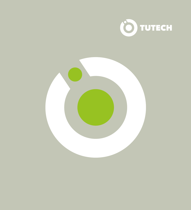

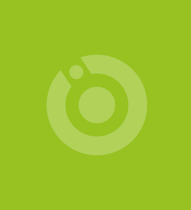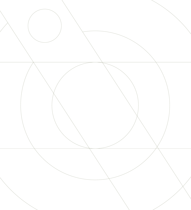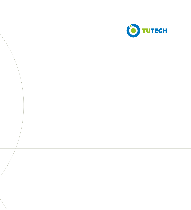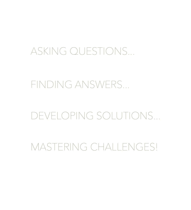# ASKING QUESTIONS...

FINDING ANSWERS...

DEVELOPING SOLUTIONS...

MASTERING CHALLENGES!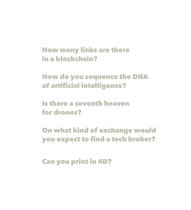How many links are there in a blockchain?

How do you sequence the DNA of artificial intelligence?

Is there a seventh heaven for drones?

On what kind of exchange would you expect to find a tech broker?

Can you print in 4D?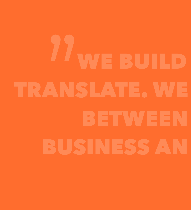# WE BUILD TRANSLATE. WE BETWEEN BUSINESS AN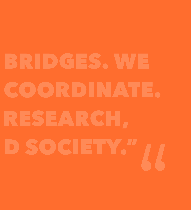# BRIDGES. WE COORDINATE. RESEARCH, D SOCIETY."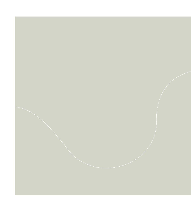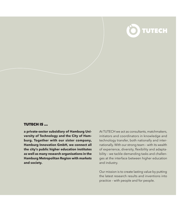

#### TUTECH IS …

**a private-sector subsidiary of Hamburg University of Technology and the City of Hamburg. Together with our sister company, Hamburg Innovation GmbH, we connect all the city's public higher education institutes as well as many research organisations in the Hamburg Metropolitan Region with markets and society.** 

At TUTECH we act as consultants, matchmakers, initiators and coordinators in knowledge and technology transfer, both nationally and internationally. With our strong team – with its wealth of experience, diversity, flexibility and adaptability – we tackle demanding tasks and challenges at the interface between higher education and industry.

Our mission is to create lasting value by putting the latest research results and inventions into practice – with people and for people.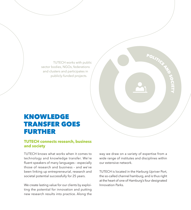TUTECH works with public sector bodies, NGOs, federations and clusters and participates in publicly-funded projects.

### KNOWLEDGE TRANSFER GOES FURTHER

#### **TUTECH connects research, business and society**

TUTECH knows what works when it comes to technology and knowledge transfer. We're fluent speakers of many languages – especially those of research and business – and we've been linking up entrepreneurial, research and societal potential successfully for 25 years.

We create lasting value for our clients by exploiting the potential for innovation and putting new research results into practice. Along the

way we draw on a variety of expertise from a wide range of institutes and disciplines within our extensive network.

POLITICS AND

SOCIE TY

TUTECH is located in the Harburg Upriver Port, the so-called channel hamburg, and is thus right at the heart of one of Hamburg's four designated Innovation Parks.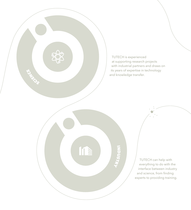TUTECH is experienced at supporting research projects with industrial partners and draws on its years of expertise in technology and knowledge transfer.

> IN D

USTRY

INS

**SCAR** 

**V3** 

TUTECH can help with everything to do with the interface between industry and science, from finding experts to providing training.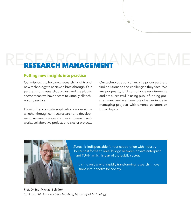# RESEARCH MANAGEMENT NAGEMENT

#### **Putting new insights into practice**

Our mission is to help new research insights and new technology to achieve a breakthrough. Our partners from research, business and the plublic sector mean we have access to virtually all technology sectors.

Developing concrete applications is our aim – whether through contract research and development, research cooperation or in thematic networks, collaborative projects and cluster projects. Our technology consultancy helps our partners find solutions to the challenges they face. We are pragmatic, fulfil compliance requirements and are successful in using public funding programmes, and we have lots of experience in managing projects with diverse partners or broad topics.



"Tutech is indispensable for our cooperation with industry because it forms an ideal bridge between private enterprise and TUHH, which is part of the public sector.

It is the only way of rapidly transforming research innovations into benefits for society."

**Prof. Dr.-Ing. Michael Schlüter** *Institute of Multiphase Flows, Hamburg University of Technology*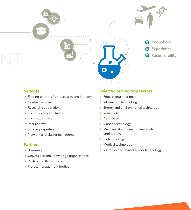

#### **Services**

- Finding partners from research and industry
- Contract research
- Research cooperation
- ▶ Technology consultancy
- ▶ Technical services
- Peer reviews
- ▶ Funding expertise
- Network and cluster management

#### **Partners**

- Businesses
- Universities and knowledge organisations
- Politics and the public sector
- Project management bodies

#### **Selected technology sectors**

- Process engineering
- **Information technology**
- ▶ Energy and environmental technology
- $\blacktriangleright$  Industry 4.0
- Aerospace
- **Marine technology**
- Mechanical engineering, materials engineering
- Biotechnology
- Medical technology
- Microelectronics and sensor technology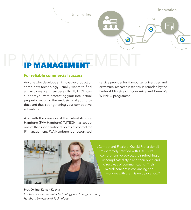Universities

## IP MANAGEMENT MENT **IANAGEME**

#### **For reliable commercial success**

Anyone who develops an innovative product or some new technology usually wants to find a way to market it successfully. TUTECH can support you with protecting your intellectual property, securing the exclusivity of your product and thus strengthening your competitive advantage.

service provider for Hamburg's universities and extramural research institutes. It is funded by the Federal Ministry of Economics and Energy's WIPANO programme.

6

Innovation

6

And with the creation of the Patent Agency Hamburg (PVA Hamburg) TUTECH has set up one of the first operational points of contact for IP management. PVA Hamburg is a recognised



comprehensive advice, their refreshingly uncomplicated style and their open and

#### **Prof. Dr.-Ing. Kerstin Kuchta** *Institute of Environmental Technology and Energy Economy Hamburg University of Technology*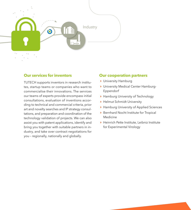

#### **Our services for inventors**

TUTECH supports inventors in research institutes, startup teams or companies who want to commercialise their innovations. The services our teams of experts provide encompass initial consultations, evaluation of inventions according to technical and commercial criteria, prior art and novelty searches and IP strategy consultations, and preparation and coordination of the technology validation of projects. We can also assist you with patent applications, identify and bring you together with suitable partners in industry, and take over contract negotiations for you – regionally, nationally and globally.

#### **Our cooperation partners**

- University Hamburg
- University Medical Center Hamburg-Eppendorf
- ▶ Hamburg University of Technology
- Helmut Schmidt University
- ▶ Hamburg University of Applied Sciences
- ▶ Bernhard Nocht Institute for Tropical Medicine
- ▶ Heinrich Pette Institute, Leibniz Institute for Experimental Virology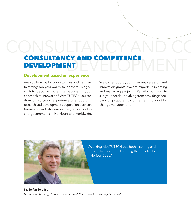## CONSULTANCY AND CO DEVELOPMENT EVELOPMENT **CONSULTANCY AND COMPET** DEVELOPMENT

#### **Development based on experience**

Are you looking for opportunities and partners to strengthen your ability to innovate? Do you wish to become more international in your approach to innovation? With TUTECH you can draw on 25 years' experience of supporting research and development cooperation between businesses, industry, universities, public bodies and governments in Hamburg and worldwide. We can support you in finding research and innovation grants. We are experts in initiating and managing projects. We tailor our work to suit your needs – anything from providing feedback on proposals to longer-term support for change management.



"Working with TUTECH was both inspiring and productive. We're still reaping the benefits for Horizon 2020."

**Dr. Stefan Seibling** *Head of Technology Transfer Center, Ernst Moritz Arndt University Greifswald*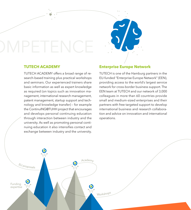# **TUTECH ACADEMY**<br>TUTECH ACADEMY offers

TUTECH ACADEMY offers a broad range of research-based training plus practical workshops and seminars. Our experienced trainers share basic information as well as expert knowledge as required (on topics such as innovation management, international research management, patent management, startup support and technology and knowledge transfer) – for example the ContinuING@TUHH project that encourages and develops personal continuing education through interaction between industry and the university. As well as promoting personal continuing education it also intensifies contact and exchange between industry and the university.

#### **Enterprise Europe Network**

TUTECH is one of the Hamburg partners in the EU-funded "Enterprise Europe Network" (EEN), providing access to the world's largest service network for cross-border business support. The EEN team at TUTECH and our network of 3,000 colleagues in more than 60 countries provide small and medium-sized enterprises and their partners with free targeted support to develop international business and research collaboration and advice on innovation and international operations.

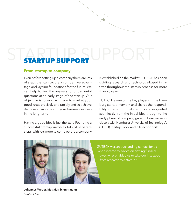# STARTUP SUPPORT

#### **From startup to company**

Even before setting up a company there are lots of steps that can secure a competitive advantage and lay firm foundations for the future. We can help to find the answers to fundamental questions at an early stage of the startup. Our objective is to work with you to market your good ideas precisely and rapidly and so achieve decisive advantages for your business success in the long term.

Having a good idea is just the start. Founding a successful startup involves lots of separate steps, with lots more to come before a company is established on the market. TUTECH has been guiding research and technology-based initiatives throughout the startup process for more than 20 years.

TUTECH is one of the key players in the Hamburg startup network and shares the responsibility for ensuring that startups are supported seamlessly from the initial idea though to the early phase of company growth. Here we work closely with Hamburg University of Technology's (TUHH) Startup Dock and hit-Technopark.



from research to a startup."

**Johannes Weber, Matthias Schmittmann** *bentekk GmbH*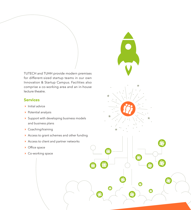TUTECH and TUHH provide modern premises for different-sized startup teams in our own Innovation & Startup Campus. Facilities also comprise a co-working area and an in-house lecture theatre.

#### **Services**

- $\blacktriangleright$  Initial advice
- ▶ Potential analysis
- ▶ Support with developing business models and business plans
- ▶ Coaching/training
- Access to grant schemes and other funding

Ű

**i)** 

(f)

- Access to client and partner networks
- ▶ Office space
- Co-working space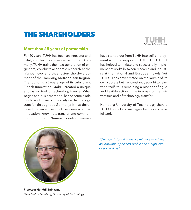### THE SHAREHOLDERS



#### **More than 25 years of partnership**

For 40 years, TUHH has been an innovator and catalyst for technical sciences in northern Germany. TUHH trains the next generation of engineers, conducts academic research at the highest level and thus fosters the development of the Hamburg Metropolitan Region. The founding 25 years ago of its subsidiary, Tutech Innovation GmbH, created a unique and lasting tool for technology transfer. What began as a business model has become a role model and driver of university-led technology transfer throughout Germany; it has developed into an efficient link between scientific innovation, know-how transfer and commercial application. Numerous entrepreneurs

have started out from TUHH into self-employment with the support of TUTECH. TUTECH has helped to initiate and successfully implement networks between research and industry at the national and European levels. Yet TUTECH has never rested on the laurels of its own success but has constantly sought to reinvent itself, thus remaining a pioneer of agile and flexible action in the interests of the universities and of technology transfer.

Hamburg University of Technology thanks TUTECH's staff and managers for their successful work.



*"Our goal is to train creative thinkers who have an individual specialist profile and a high level of social skills."*

**Professor Hendrik Brinksma** *President of Hamburg University of Technology*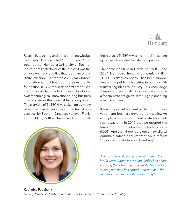

Research, teaching and transfer of knowledge to society: The so-called "third mission" has been part of Hamburg University of Technology's identity all along. At the outset it was the university's transfer office that took care of this "third mission". For the past 25 years Tutech Innovation GmbH has been responsible. Its foundation in 1992 marked the first time a German university had made a move to develop its own technological innovations along business lines and make them available to companies. The example of TUTECH was taken up by many other German universities and technical universities: by Bochum, Dresden, Hanover, Frankfurt am Main, Cottbus, Kassel and Berlin. In all



these places TUTECH was the model for setting up university-related transfer companies.

The same was true in Hamburg itself. Since 2004 Hamburg Innovation GmbH (HI) – TUTECH's sister company – has been supporting all the public universities in our city with transferring ideas to industry. This knowledge transfer tandem for all the public universities in a federal state has given Hamburg a pioneering role in Germany.

It is an important element of Hamburg's innovation and business development policy. An example is the establishment of start-up centres. It was only in 2017 that we opened the Innovation Campus for Green Technologies (ICGT). And then there is the upcoming digital communication and interaction platform "beyourpilot – Startup Port Hamburg".

*"Hamburg is a city for people with ideas. And for 25 years Tutech Innovation GmbH has been ensuring that ideas become reality. My thanks to everyone who has contributed to that in the past and to those who still do so today."*

**Katharina Fegebank** *Deputy Mayor of Hamburg and Minister for Science, Research and Equality*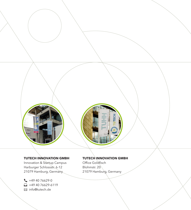#### **TUTECH INNOVATION GMBH**

Innovation & Startup Campus Harburger Schlossstr. 6-12 21079 Hamburg, Germany

 $\bigcup$  +49 40 76629-0  $\Box$  +49 40 76629-6119 info@tutech.de

#### **TUTECH INNOVATION GMBH**

Office Goldfisch Blohmstr. 20 21079 Hamburg, Germany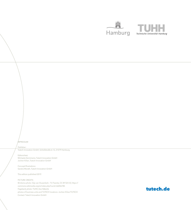

IMPRESSUM

#### Publisher:

Tutech Innovation GmbH, Schloßstraße 6-12, 21079 Hamburg

Editors/text: Michaela Germinario, Tutech Innovation GmbH Jochen Kilian, Tutech Innovation GmbH

Concept/illustrations: Sandra Morath, Tutech Innovation GmbH

This edition published 2019

PICTURE CREDITS Brinksma photo: Gijs van Ouwerkerk – TU Twente, CC BY-SA 4.0, https:// commons.wikimedia.org/w/index.php?curid=66056785 Fegebank photo: TUHH, Eva Häberle photos of business units and TUTECH locations: Jochen Kilian/TUTECH Contact: Tutech Innovation GmbH

#### tutech.de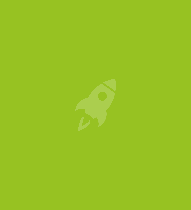